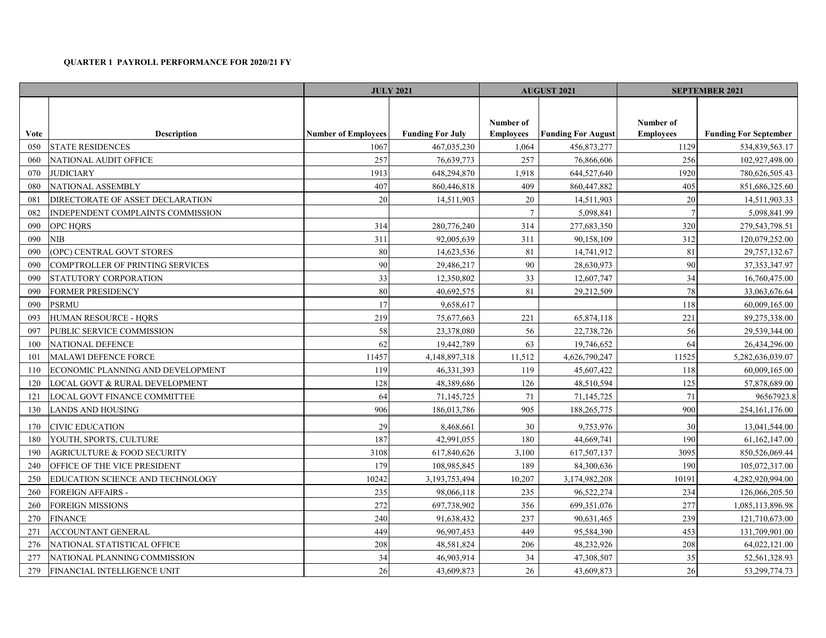## **QUARTER 1 PAYROLL PERFORMANCE FOR 2020/21 FY**

|             |                                    | <b>JULY 2021</b>           |                         | <b>AUGUST 2021</b>            |                           | <b>SEPTEMBER 2021</b>         |                              |
|-------------|------------------------------------|----------------------------|-------------------------|-------------------------------|---------------------------|-------------------------------|------------------------------|
| <b>Vote</b> | <b>Description</b>                 | <b>Number of Employees</b> | <b>Funding For July</b> | Number of<br><b>Employees</b> | <b>Funding For August</b> | Number of<br><b>Employees</b> | <b>Funding For September</b> |
| 050         | <b>STATE RESIDENCES</b>            | 1067                       | 467,035,230             | 1,064                         | 456,873,277               | 1129                          | 534,839,563.17               |
| 060         | NATIONAL AUDIT OFFICE              | 257                        | 76,639,773              | 257                           | 76,866,606                | 256                           | 102,927,498.00               |
| 070         | <b>JUDICIARY</b>                   | 1913                       | 648,294,870             | 1,918                         | 644,527,640               | 1920                          | 780,626,505.43               |
| 080         | <b>NATIONAL ASSEMBLY</b>           | 407                        | 860,446,818             | 409                           | 860,447,882               | 405                           | 851,686,325.60               |
| 081         | DIRECTORATE OF ASSET DECLARATION   | 20                         | 14,511,903              | 20                            | 14,511,903                | 20                            | 14,511,903.33                |
| 082         | INDEPENDENT COMPLAINTS COMMISSION  |                            |                         | $7\overline{ }$               | 5,098,841                 | $7\overline{ }$               | 5,098,841.99                 |
| 090         | <b>OPC HORS</b>                    | 314                        | 280,776,240             | 314                           | 277,683,350               | 320                           | 279,543,798.51               |
| 090         | NIB                                | 311                        | 92,005,639              | 311                           | 90,158,109                | 312                           | 120,079,252.00               |
| 090         | (OPC) CENTRAL GOVT STORES          | 80                         | 14,623,536              | 81                            | 14,741,912                | 81                            | 29,757,132.67                |
| 090         | COMPTROLLER OF PRINTING SERVICES   | 90                         | 29,486,217              | 90                            | 28,630,973                | 90                            | 37, 353, 347. 97             |
| 090         | STATUTORY CORPORATION              | 33                         | 12,350,802              | 33                            | 12,607,747                | 34                            | 16,760,475.00                |
| 090         | FORMER PRESIDENCY                  | 80                         | 40,692,575              | 81                            | 29,212,509                | 78                            | 33,063,676.64                |
| 090         | <b>PSRMU</b>                       | 17                         | 9,658,617               |                               |                           | 118                           | 60,009,165.00                |
| 093         | HUMAN RESOURCE - HQRS              | 219                        | 75,677,663              | 221                           | 65,874,118                | 221                           | 89,275,338.00                |
| 097         | PUBLIC SERVICE COMMISSION          | 58                         | 23,378,080              | 56                            | 22,738,726                | 56                            | 29,539,344.00                |
| 100         | NATIONAL DEFENCE                   | 62                         | 19,442,789              | 63                            | 19,746,652                | 64                            | 26,434,296.00                |
| 101         | <b>MALAWI DEFENCE FORCE</b>        | 11457                      | 4,148,897,318           | 11,512                        | 4,626,790,247             | 11525                         | 5,282,636,039.07             |
| 110         | ECONOMIC PLANNING AND DEVELOPMENT  | 119                        | 46,331,393              | 119                           | 45,607,422                | 118                           | 60,009,165.00                |
| 120         | LOCAL GOVT & RURAL DEVELOPMENT     | 128                        | 48,389,686              | 126                           | 48,510,594                | 125                           | 57,878,689.00                |
| 121         | LOCAL GOVT FINANCE COMMITTEE       | 64                         | 71,145,725              | 71                            | 71,145,725                | 71                            | 96567923.8                   |
| 130         | LANDS AND HOUSING                  | 906                        | 186,013,786             | 905                           | 188,265,775               | 900                           | 254, 161, 176.00             |
| 170         | CIVIC EDUCATION                    | 29                         | 8,468,661               | 30                            | 9,753,976                 | 30                            | 13,041,544.00                |
| 180         | YOUTH, SPORTS, CULTURE             | 187                        | 42,991,055              | 180                           | 44,669,741                | 190                           | 61,162,147.00                |
| 190         | AGRICULTURE & FOOD SECURITY        | 3108                       | 617,840,626             | 3,100                         | 617,507,137               | 3095                          | 850,526,069.44               |
| 240         | OFFICE OF THE VICE PRESIDENT       | 179                        | 108,985,845             | 189                           | 84,300,636                | 190                           | 105,072,317.00               |
| 250         | EDUCATION SCIENCE AND TECHNOLOGY   | 10242                      | 3,193,753,494           | 10,207                        | 3,174,982,208             | 10191                         | 4,282,920,994.00             |
| 260         | FOREIGN AFFAIRS -                  | 235                        | 98,066,118              | 235                           | 96,522,274                | 234                           | 126,066,205.50               |
| 260         | FOREIGN MISSIONS                   | 272                        | 697,738,902             | 356                           | 699,351,076               | 277                           | 1,085,113,896.98             |
| 270         | <b>FINANCE</b>                     | 240                        | 91,638,432              | 237                           | 90,631,465                | 239                           | 121,710,673.00               |
| 271         | ACCOUNTANT GENERAL                 | 449                        | 96,907,453              | 449                           | 95,584,390                | 453                           | 131,709,901.00               |
| 276         | NATIONAL STATISTICAL OFFICE        | 208                        | 48,581,824              | 206                           | 48,232,926                | 208                           | 64,022,121.00                |
| 277         | NATIONAL PLANNING COMMISSION       | 34                         | 46,903,914              | 34                            | 47,308,507                | 35                            | 52,561,328.93                |
| 279         | <b>FINANCIAL INTELLIGENCE UNIT</b> | 26                         | 43,609,873              | 26                            | 43,609,873                | 26                            | 53, 299, 774. 73             |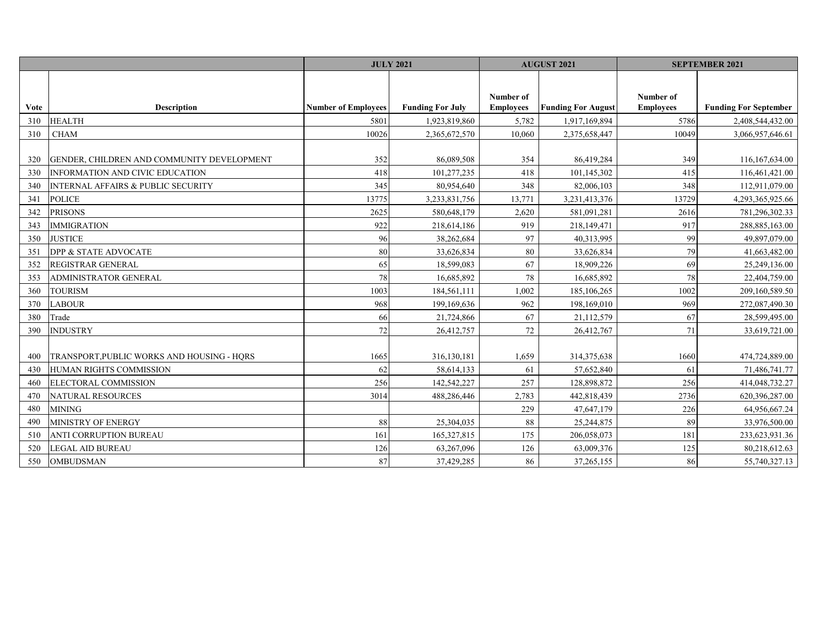|             |                                               | <b>JULY 2021</b>           |                         | <b>AUGUST 2021</b> |                           | <b>SEPTEMBER 2021</b> |                              |
|-------------|-----------------------------------------------|----------------------------|-------------------------|--------------------|---------------------------|-----------------------|------------------------------|
|             |                                               |                            |                         |                    |                           |                       |                              |
|             |                                               |                            |                         | Number of          |                           | Number of             |                              |
| <b>Vote</b> | <b>Description</b>                            | <b>Number of Employees</b> | <b>Funding For July</b> | <b>Employees</b>   | <b>Funding For August</b> | <b>Employees</b>      | <b>Funding For September</b> |
| 310         | <b>HEALTH</b>                                 | 5801                       | 1,923,819,860           | 5,782              | 1,917,169,894             | 5786                  | 2,408,544,432.00             |
| 310         | <b>CHAM</b>                                   | 10026                      | 2,365,672,570           | 10,060             | 2,375,658,447             | 10049                 | 3,066,957,646.61             |
|             |                                               |                            |                         |                    |                           |                       |                              |
| 320         | GENDER, CHILDREN AND COMMUNITY DEVELOPMENT    | 352                        | 86,089,508              | 354                | 86,419,284                | 349                   | 116,167,634.00               |
| 330         | INFORMATION AND CIVIC EDUCATION               | 418                        | 101,277,235             | 418                | 101,145,302               | 415                   | 116,461,421.00               |
| 340         | <b>INTERNAL AFFAIRS &amp; PUBLIC SECURITY</b> | 345                        | 80,954,640              | 348                | 82,006,103                | 348                   | 112,911,079.00               |
| 341         | <b>POLICE</b>                                 | 13775                      | 3,233,831,756           | 13,771             | 3,231,413,376             | 13729                 | 4,293,365,925.66             |
| 342         | <b>PRISONS</b>                                | 2625                       | 580,648,179             | 2,620              | 581,091,281               | 2616                  | 781,296,302.33               |
| 343         | <b>IMMIGRATION</b>                            | 922                        | 218,614,186             | 919                | 218,149,471               | 917                   | 288,885,163.00               |
| 350         | <b>JUSTICE</b>                                | 96                         | 38,262,684              | 97                 | 40,313,995                | 99                    | 49,897,079.00                |
| 351         | DPP & STATE ADVOCATE                          | 80                         | 33,626,834              | 80                 | 33,626,834                | 79                    | 41,663,482.00                |
| 352         | REGISTRAR GENERAL                             | 65                         | 18,599,083              | 67                 | 18,909,226                | 69                    | 25,249,136.00                |
| 353         | ADMINISTRATOR GENERAL                         | 78                         | 16,685,892              | 78                 | 16,685,892                | 78                    | 22,404,759.00                |
| 360         | <b>TOURISM</b>                                | 1003                       | 184,561,111             | 1,002              | 185, 106, 265             | 1002                  | 209,160,589.50               |
| 370         | <b>LABOUR</b>                                 | 968                        | 199,169,636             | 962                | 198,169,010               | 969                   | 272,087,490.30               |
| 380         | Trade                                         | 66                         | 21,724,866              | 67                 | 21,112,579                | 67                    | 28,599,495.00                |
| 390         | <b>INDUSTRY</b>                               | 72                         | 26,412,757              | 72                 | 26,412,767                | 71                    | 33,619,721.00                |
|             |                                               |                            |                         |                    |                           |                       |                              |
| 400         | TRANSPORT, PUBLIC WORKS AND HOUSING - HORS    | 1665                       | 316,130,181             | 1,659              | 314, 375, 638             | 1660                  | 474,724,889.00               |
| 430         | HUMAN RIGHTS COMMISSION                       | 62                         | 58,614,133              | 61                 | 57,652,840                | 61                    | 71,486,741.77                |
| 460         | ELECTORAL COMMISSION                          | 256                        | 142,542,227             | 257                | 128,898,872               | 256                   | 414,048,732.27               |
| 470         | NATURAL RESOURCES                             | 3014                       | 488,286,446             | 2,783              | 442,818,439               | 2736                  | 620,396,287.00               |
| 480         | <b>MINING</b>                                 |                            |                         | 229                | 47,647,179                | 226                   | 64,956,667.24                |
| 490         | MINISTRY OF ENERGY                            | 88                         | 25,304,035              | 88                 | 25,244,875                | 89                    | 33,976,500.00                |
| 510         | ANTI CORRUPTION BUREAU                        | 161                        | 165,327,815             | 175                | 206,058,073               | 181                   | 233,623,931.36               |
| 520         | <b>LEGAL AID BUREAU</b>                       | 126                        | 63,267,096              | 126                | 63,009,376                | 125                   | 80,218,612.63                |
| 550         | <b>OMBUDSMAN</b>                              | 87                         | 37,429,285              | 86                 | 37,265,155                | 86                    | 55,740,327.13                |